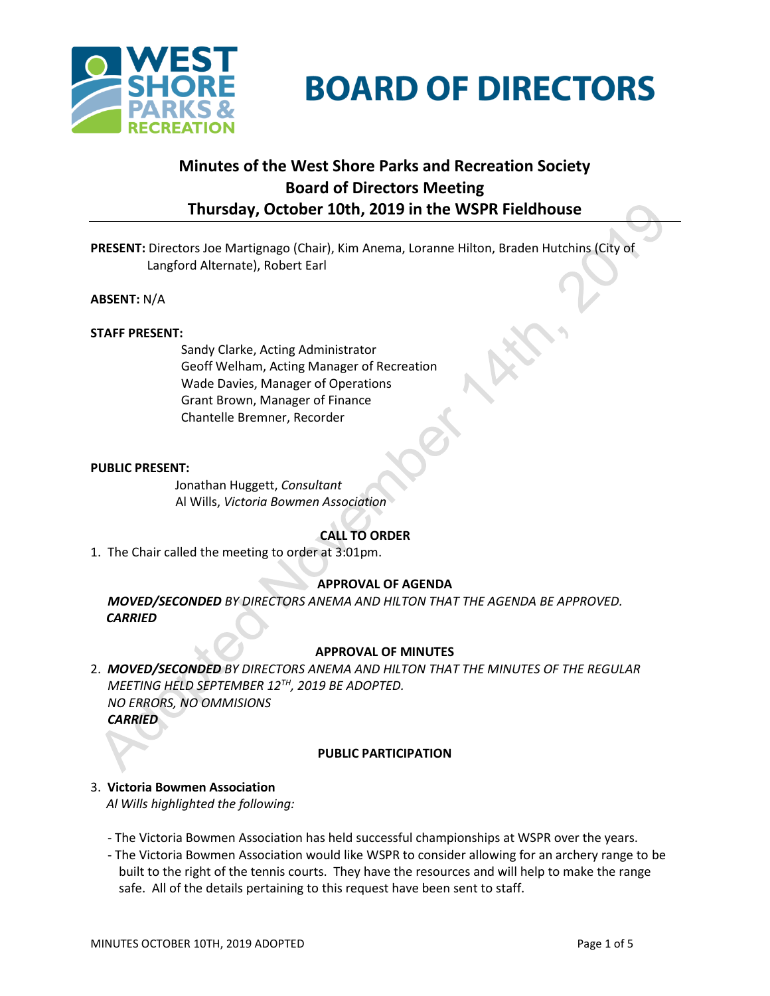

# **BOARD OF DIRECTORS**

# **Minutes of the West Shore Parks and Recreation Society Board of Directors Meeting Thursday, October 10th, 2019 in the WSPR Fieldhouse**

**PRESENT:** Directors Joe Martignago (Chair), Kim Anema, Loranne Hilton, Braden Hutchins (City of Langford Alternate), Robert Earl

**ABSENT:** N/A

# **STAFF PRESENT:**

Sandy Clarke, Acting Administrator Geoff Welham, Acting Manager of Recreation Wade Davies, Manager of Operations Grant Brown, Manager of Finance Chantelle Bremner, Recorder

# **PUBLIC PRESENT:**

Jonathan Huggett, *Consultant* Al Wills, *Victoria Bowmen Association*

# **CALL TO ORDER**

1. The Chair called the meeting to order at 3:01pm.

# **APPROVAL OF AGENDA**

2. *MOVED/SECONDED BY DIRECTORS ANEMA AND HILTON THAT THE AGENDA BE APPROVED. CARRIED*

# **APPROVAL OF MINUTES**

2. *MOVED/SECONDED BY DIRECTORS ANEMA AND HILTON THAT THE MINUTES OF THE REGULAR MEETING HELD SEPTEMBER 12TH, 2019 BE ADOPTED. NO ERRORS, NO OMMISIONS CARRIED*

#### **PUBLIC PARTICIPATION**

- 3. **Victoria Bowmen Association**  *Al Wills highlighted the following:*
	- The Victoria Bowmen Association has held successful championships at WSPR over the years.
	- The Victoria Bowmen Association would like WSPR to consider allowing for an archery range to be built to the right of the tennis courts. They have the resources and will help to make the range safe. All of the details pertaining to this request have been sent to staff.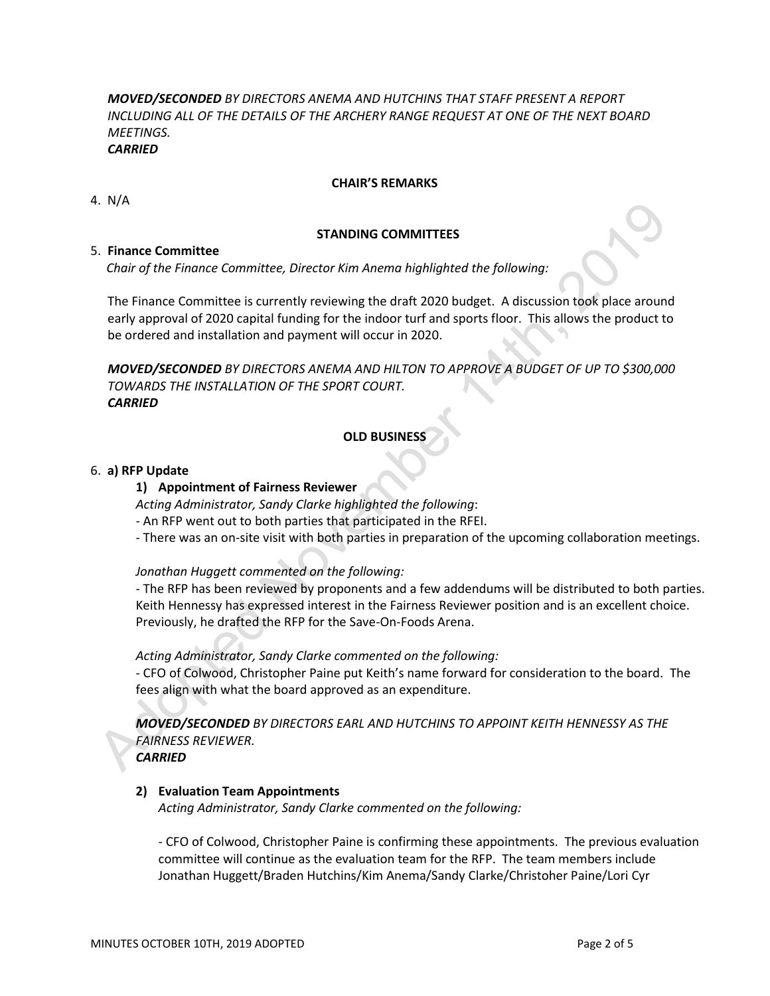*MOVED/SECONDED BY DIRECTORS ANEMA AND HUTCHINS THAT STAFF PRESENT A REPORT INCLUDING ALL OF THE DETAILS OF THE ARCHERY RANGE REQUEST AT ONE OF THE NEXT BOARD MEETINGS.*

*CARRIED*

# **CHAIR'S REMARKS**

4. N/A

# **STANDING COMMITTEES**

# 5. **Finance Committee**

*Chair of the Finance Committee, Director Kim Anema highlighted the following:*

The Finance Committee is currently reviewing the draft 2020 budget. A discussion took place around early approval of 2020 capital funding for the indoor turf and sports floor. This allows the product to be ordered and installation and payment will occur in 2020.

*MOVED/SECONDED BY DIRECTORS ANEMA AND HILTON TO APPROVE A BUDGET OF UP TO \$300,000 TOWARDS THE INSTALLATION OF THE SPORT COURT. CARRIED*

# **OLD BUSINESS**

# 6. **a) RFP Update**

# **1) Appointment of Fairness Reviewer**

*Acting Administrator, Sandy Clarke highlighted the following*:

- An RFP went out to both parties that participated in the RFEI.
- There was an on-site visit with both parties in preparation of the upcoming collaboration meetings.

# *Jonathan Huggett commented on the following:*

- The RFP has been reviewed by proponents and a few addendums will be distributed to both parties. Keith Hennessy has expressed interest in the Fairness Reviewer position and is an excellent choice. Previously, he drafted the RFP for the Save-On-Foods Arena.

*Acting Administrator, Sandy Clarke commented on the following:*

- CFO of Colwood, Christopher Paine put Keith's name forward for consideration to the board. The fees align with what the board approved as an expenditure.

*MOVED/SECONDED BY DIRECTORS EARL AND HUTCHINS TO APPOINT KEITH HENNESSY AS THE FAIRNESS REVIEWER.*

*CARRIED*

# **2) Evaluation Team Appointments**

*Acting Administrator, Sandy Clarke commented on the following:*

- CFO of Colwood, Christopher Paine is confirming these appointments. The previous evaluation committee will continue as the evaluation team for the RFP. The team members include Jonathan Huggett/Braden Hutchins/Kim Anema/Sandy Clarke/Christoher Paine/Lori Cyr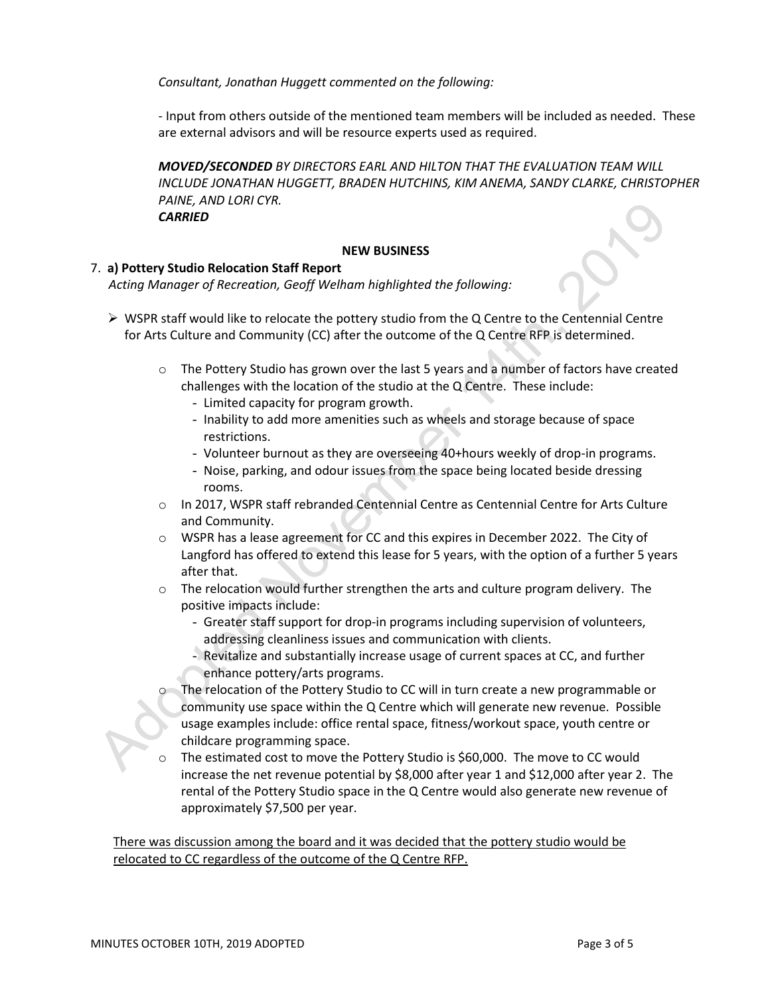*Consultant, Jonathan Huggett commented on the following:*

- Input from others outside of the mentioned team members will be included as needed. These are external advisors and will be resource experts used as required.

*MOVED/SECONDED BY DIRECTORS EARL AND HILTON THAT THE EVALUATION TEAM WILL INCLUDE JONATHAN HUGGETT, BRADEN HUTCHINS, KIM ANEMA, SANDY CLARKE, CHRISTOPHER PAINE, AND LORI CYR. CARRIED*

# **NEW BUSINESS**

# 7. **a) Pottery Studio Relocation Staff Report**

*Acting Manager of Recreation, Geoff Welham highlighted the following:*

- $\triangleright$  WSPR staff would like to relocate the pottery studio from the Q Centre to the Centennial Centre for Arts Culture and Community (CC) after the outcome of the Q Centre RFP is determined.
	- o The Pottery Studio has grown over the last 5 years and a number of factors have created challenges with the location of the studio at the Q Centre. These include:
		- Limited capacity for program growth.
		- Inability to add more amenities such as wheels and storage because of space restrictions.
		- Volunteer burnout as they are overseeing 40+hours weekly of drop-in programs.
		- Noise, parking, and odour issues from the space being located beside dressing rooms.
	- o In 2017, WSPR staff rebranded Centennial Centre as Centennial Centre for Arts Culture and Community.
	- o WSPR has a lease agreement for CC and this expires in December 2022. The City of Langford has offered to extend this lease for 5 years, with the option of a further 5 years after that.
	- $\circ$  The relocation would further strengthen the arts and culture program delivery. The positive impacts include:
		- Greater staff support for drop-in programs including supervision of volunteers, addressing cleanliness issues and communication with clients.
		- Revitalize and substantially increase usage of current spaces at CC, and further enhance pottery/arts programs.
		- The relocation of the Pottery Studio to CC will in turn create a new programmable or community use space within the Q Centre which will generate new revenue. Possible usage examples include: office rental space, fitness/workout space, youth centre or childcare programming space.
	- The estimated cost to move the Pottery Studio is \$60,000. The move to CC would increase the net revenue potential by \$8,000 after year 1 and \$12,000 after year 2. The rental of the Pottery Studio space in the Q Centre would also generate new revenue of approximately \$7,500 per year.

There was discussion among the board and it was decided that the pottery studio would be relocated to CC regardless of the outcome of the Q Centre RFP.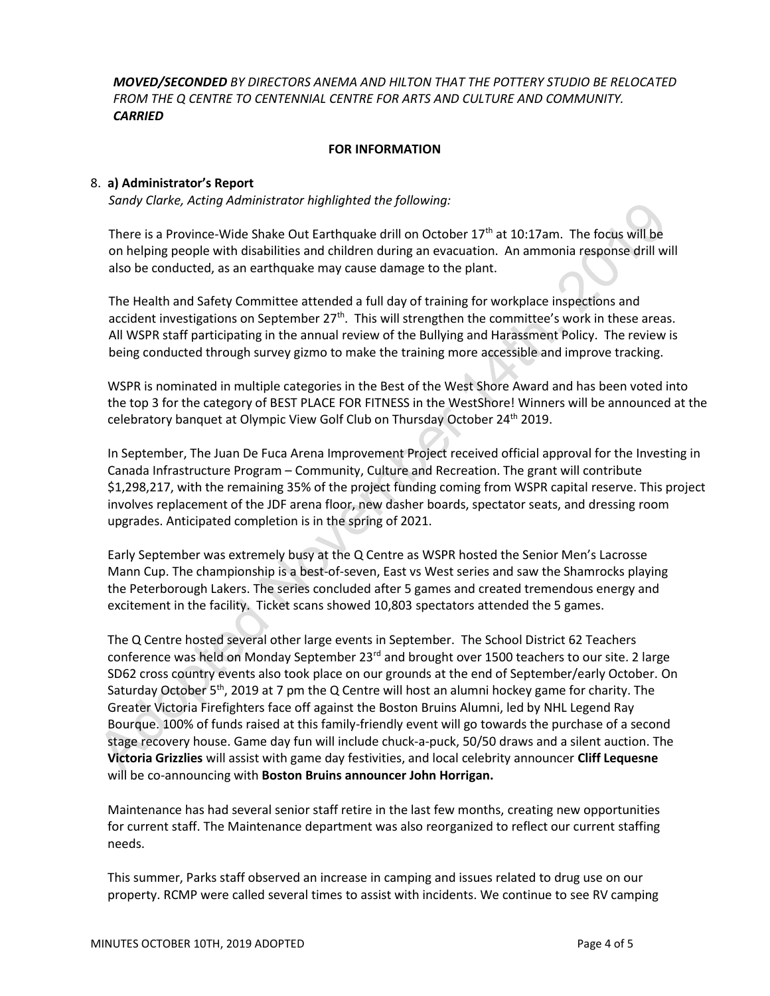*MOVED/SECONDED BY DIRECTORS ANEMA AND HILTON THAT THE POTTERY STUDIO BE RELOCATED FROM THE Q CENTRE TO CENTENNIAL CENTRE FOR ARTS AND CULTURE AND COMMUNITY. CARRIED*

# **FOR INFORMATION**

# 8. **a) Administrator's Report**

*Sandy Clarke, Acting Administrator highlighted the following:*

There is a Province-Wide Shake Out Earthquake drill on October 17th at 10:17am. The focus will be on helping people with disabilities and children during an evacuation. An ammonia response drill will also be conducted, as an earthquake may cause damage to the plant.

The Health and Safety Committee attended a full day of training for workplace inspections and accident investigations on September 27<sup>th</sup>. This will strengthen the committee's work in these areas. All WSPR staff participating in the annual review of the Bullying and Harassment Policy. The review is being conducted through survey gizmo to make the training more accessible and improve tracking.

WSPR is nominated in multiple categories in the Best of the West Shore Award and has been voted into the top 3 for the category of BEST PLACE FOR FITNESS in the WestShore! Winners will be announced at the celebratory banquet at Olympic View Golf Club on Thursday October 24<sup>th</sup> 2019.

In September, The Juan De Fuca Arena Improvement Project received official approval for the Investing in Canada Infrastructure Program – Community, Culture and Recreation. The grant will contribute \$1,298,217, with the remaining 35% of the project funding coming from WSPR capital reserve. This project involves replacement of the JDF arena floor, new dasher boards, spectator seats, and dressing room upgrades. Anticipated completion is in the spring of 2021.

Early September was extremely busy at the Q Centre as WSPR hosted the Senior Men's Lacrosse Mann Cup. The championship is a best-of-seven, East vs West series and saw the Shamrocks playing the Peterborough Lakers. The series concluded after 5 games and created tremendous energy and excitement in the facility. Ticket scans showed 10,803 spectators attended the 5 games.

The Q Centre hosted several other large events in September. The School District 62 Teachers conference was held on Monday September 23<sup>rd</sup> and brought over 1500 teachers to our site. 2 large SD62 cross country events also took place on our grounds at the end of September/early October. On Saturday October 5<sup>th</sup>, 2019 at 7 pm the Q Centre will host an alumni hockey game for charity. The Greater Victoria Firefighters face off against the Boston Bruins Alumni, led by NHL Legend Ray Bourque. 100% of funds raised at this family-friendly event will go towards the purchase of a second stage recovery house. Game day fun will include chuck-a-puck, 50/50 draws and a silent auction. The **Victoria Grizzlies** will assist with game day festivities, and local celebrity announcer **Cliff Lequesne** will be co-announcing with **Boston Bruins announcer John Horrigan.**

Maintenance has had several senior staff retire in the last few months, creating new opportunities for current staff. The Maintenance department was also reorganized to reflect our current staffing needs.

This summer, Parks staff observed an increase in camping and issues related to drug use on our property. RCMP were called several times to assist with incidents. We continue to see RV camping